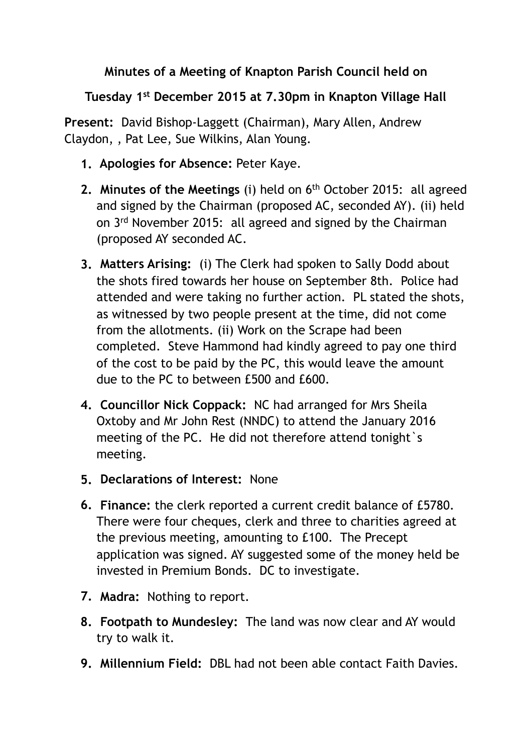## **Minutes of a Meeting of Knapton Parish Council held on**

**Tuesday 1st December 2015 at 7.30pm in Knapton Village Hall** 

**Present:** David Bishop-Laggett (Chairman), Mary Allen, Andrew Claydon, , Pat Lee, Sue Wilkins, Alan Young.

- **1. Apologies for Absence:** Peter Kaye.
- **2. Minutes of the Meetings** (i) held on 6<sup>th</sup> October 2015: all agreed and signed by the Chairman (proposed AC, seconded AY). (ii) held on 3rd November 2015: all agreed and signed by the Chairman (proposed AY seconded AC.
- **3. Matters Arising:** (i) The Clerk had spoken to Sally Dodd about the shots fired towards her house on September 8th. Police had attended and were taking no further action. PL stated the shots, as witnessed by two people present at the time, did not come from the allotments. (ii) Work on the Scrape had been completed. Steve Hammond had kindly agreed to pay one third of the cost to be paid by the PC, this would leave the amount due to the PC to between £500 and £600.
- **4. Councillor Nick Coppack:** NC had arranged for Mrs Sheila Oxtoby and Mr John Rest (NNDC) to attend the January 2016 meeting of the PC. He did not therefore attend tonight s meeting.
- **5. Declarations of Interest:** None
- **6. Finance:** the clerk reported a current credit balance of £5780. There were four cheques, clerk and three to charities agreed at the previous meeting, amounting to £100. The Precept application was signed. AY suggested some of the money held be invested in Premium Bonds. DC to investigate.
- **7. Madra:** Nothing to report.
- **8. Footpath to Mundesley:** The land was now clear and AY would try to walk it.
- **9. Millennium Field:** DBL had not been able contact Faith Davies.